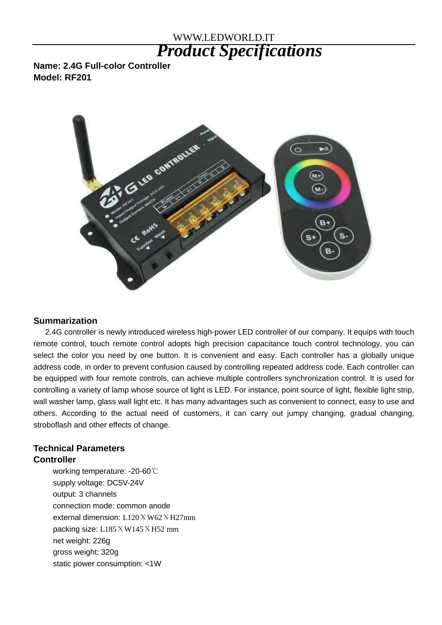# WWW.LEDWORLD.IT *Product Specifications*

**Name: 2.4G Full-color Controller Model: RF201**



#### **Summarization**

2.4G controller is newly introduced wireless high-power LED controller of our company. It equips with touch remote control, touch remote control adopts high precision capacitance touch control technology, you can select the color you need by one button. It is convenient and easy. Each controller has a globally unique address code, in order to prevent confusion caused by controlling repeated address code. Each controller can be equipped with four remote controls, can achieve multiple controllers synchronization control. It is used for controlling a variety of lamp whose source of light is LED. For instance, point source of light, flexible light strip, wall washer lamp, glass wall light etc. It has many advantages such as convenient to connect, easy to use and others. According to the actual need of customers, it can carry out jumpy changing, gradual changing, stroboflash and other effects of change.

## **Technical Parameters Controller**

working temperature: -20-60℃ supply voltage: DC5V-24V output: 3 channels connection mode: common anode external dimension: L120ΧW62ΧH27mm packing size: L185ΧW145ΧH52 mm net weight: 226g gross weight: 320g static power consumption: <1W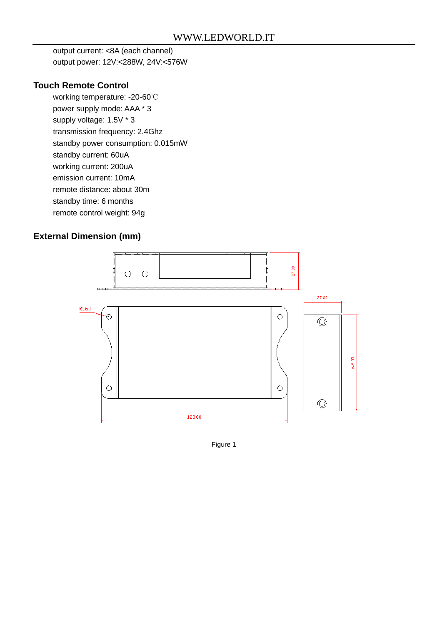output current: <8A (each channel) output power: 12V:<288W, 24V:<576W

### **Touch Remote Control**

 working temperature: -20-60℃ power supply mode: AAA \* 3 supply voltage: 1.5V \* 3 transmission frequency: 2.4Ghz standby power consumption: 0.015mW standby current: 60uA working current: 200uA emission current: 10mA remote distance: about 30m standby time: 6 months remote control weight: 94g

### **External Dimension (mm)**



Figure 1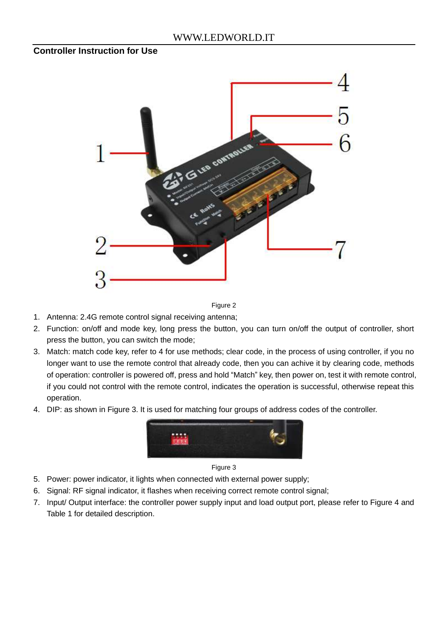#### **Controller Instruction for Use**



Figure 2

- 1. Antenna: 2.4G remote control signal receiving antenna;
- 2. Function: on/off and mode key, long press the button, you can turn on/off the output of controller, short press the button, you can switch the mode;
- 3. Match: match code key, refer to 4 for use methods; clear code, in the process of using controller, if you no longer want to use the remote control that already code, then you can achive it by clearing code, methods of operation: controller is powered off, press and hold "Match" key, then power on, test it with remote control, if you could not control with the remote control, indicates the operation is successful, otherwise repeat this operation.
- 4. DIP: as shown in Figure 3. It is used for matching four groups of address codes of the controller.



Figure 3

- 5. Power: power indicator, it lights when connected with external power supply;
- 6. Signal: RF signal indicator, it flashes when receiving correct remote control signal;
- 7. Input/ Output interface: the controller power supply input and load output port, please refer to Figure 4 and Table 1 for detailed description.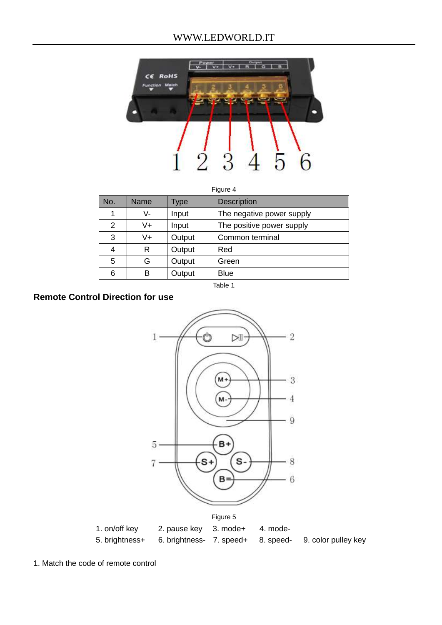

Figure 4

| No. | Name | Type   | <b>Description</b>        |  |
|-----|------|--------|---------------------------|--|
|     | V-   | Input  | The negative power supply |  |
| 2   | V+   | Input  | The positive power supply |  |
| 3   | V+   | Output | Common terminal           |  |
| 4   | R    | Output | Red                       |  |
| 5   | G    | Output | Green                     |  |
| 6   | в    | Output | <b>Blue</b>               |  |

Table 1

## **Remote Control Direction for use**



5. brightness+ 6. brightness- 7. speed+ 8. speed- 9. color pulley key

1. Match the code of remote control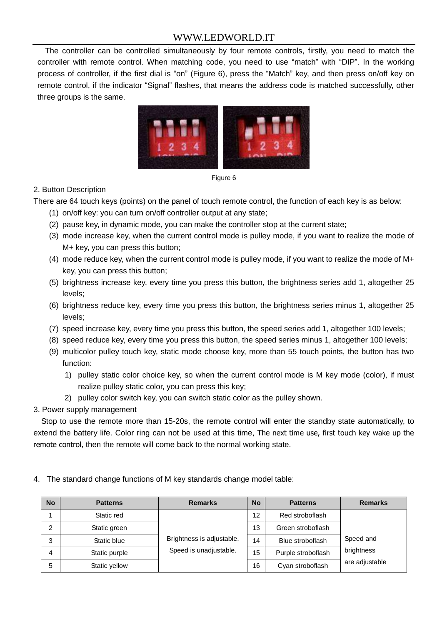The controller can be controlled simultaneously by four remote controls, firstly, you need to match the controller with remote control. When matching code, you need to use "match" with "DIP". In the working process of controller, if the first dial is "on" (Figure 6), press the "Match" key, and then press on/off key on remote control, if the indicator "Signal" flashes, that means the address code is matched successfully, other three groups is the same.





#### 2. Button Description

There are 64 touch keys (points) on the panel of touch remote control, the function of each key is as below:

- (1) on/off key: you can turn on/off controller output at any state;
- (2) pause key, in dynamic mode, you can make the controller stop at the current state;
- (3) mode increase key, when the current control mode is pulley mode, if you want to realize the mode of M+ key, you can press this button;
- (4) mode reduce key, when the current control mode is pulley mode, if you want to realize the mode of M+ key, you can press this button;
- (5) brightness increase key, every time you press this button, the brightness series add 1, altogether 25 levels;
- (6) brightness reduce key, every time you press this button, the brightness series minus 1, altogether 25 levels;
- (7) speed increase key, every time you press this button, the speed series add 1, altogether 100 levels;
- (8) speed reduce key, every time you press this button, the speed series minus 1, altogether 100 levels;
- (9) multicolor pulley touch key, static mode choose key, more than 55 touch points, the button has two function:
	- 1) pulley static color choice key, so when the current control mode is M key mode (color), if must realize pulley static color, you can press this key;
	- 2) pulley color switch key, you can switch static color as the pulley shown.
- 3. Power supply management

Stop to use the remote more than 15-20s, the remote control will enter the standby state automatically, to extend the battery life. Color ring can not be used at this time, The next time use, first touch key wake up the remote control, then the remote will come back to the normal working state.

4. The standard change functions of M key standards change model table:

| <b>No</b> | <b>Patterns</b> | <b>Remarks</b>                                      | <b>No</b> | <b>Patterns</b>    | <b>Remarks</b>                            |
|-----------|-----------------|-----------------------------------------------------|-----------|--------------------|-------------------------------------------|
|           | Static red      | Brightness is adjustable,<br>Speed is unadjustable. | 12        | Red stroboflash    | Speed and<br>brightness<br>are adjustable |
| っ         | Static green    |                                                     | 13        | Green stroboflash  |                                           |
| 3         | Static blue     |                                                     | 14        | Blue stroboflash   |                                           |
| 4         | Static purple   |                                                     | 15        | Purple stroboflash |                                           |
| 5         | Static yellow   |                                                     | 16        | Cyan stroboflash   |                                           |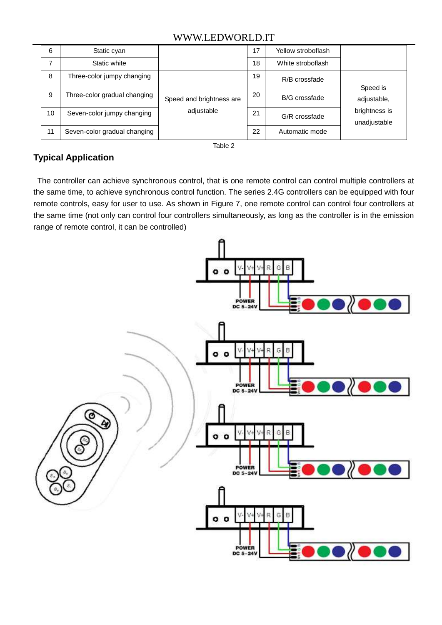| 6  | Static cyan                  |                                        | 17 | Yellow stroboflash   |                                              |
|----|------------------------------|----------------------------------------|----|----------------------|----------------------------------------------|
| 7  | Static white                 |                                        | 18 | White stroboflash    |                                              |
| 8  | Three-color jumpy changing   |                                        | 19 | R/B crossfade        | Speed is                                     |
| 9  | Three-color gradual changing | Speed and brightness are<br>adjustable | 20 | <b>B/G</b> crossfade | adjustable,<br>brightness is<br>unadjustable |
| 10 | Seven-color jumpy changing   |                                        | 21 | G/R crossfade        |                                              |
| 11 | Seven-color gradual changing |                                        | 22 | Automatic mode       |                                              |

#### Table 2

# **Typical Application**

The controller can achieve synchronous control, that is one remote control can control multiple controllers at the same time, to achieve synchronous control function. The series 2.4G controllers can be equipped with four remote controls, easy for user to use. As shown in Figure 7, one remote control can control four controllers at the same time (not only can control four controllers simultaneously, as long as the controller is in the emission range of remote control, it can be controlled)